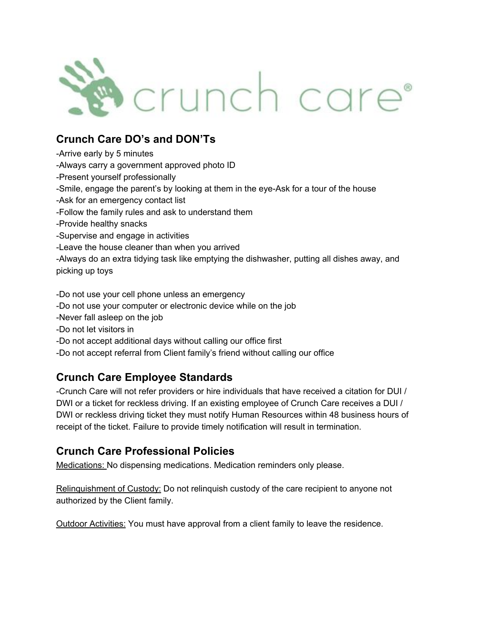

## **Crunch Care DO's and DON'Ts**

Arrive early by 5 minutes Always carry a government approved photo ID Present yourself professionally -Smile, engage the parent's by looking at them in the eye-Ask for a tour of the house Ask for an emergency contact list Follow the family rules and ask to understand them Provide healthy snacks Supervise and engage in activities Leave the house cleaner than when you arrived Always do an extra tidying task like emptying the dishwasher, putting all dishes away, and picking up toys Do not use your cell phone unless an emergency Do not use your computer or electronic device while on the job Never fall asleep on the job Do not let visitors in Do not accept additional days without calling our office first

Do not accept referral from Client family's friend without calling our office

## **Crunch Care Employee Standards**

Crunch Care will not refer providers or hire individuals that have received a citation for DUI / DWI or a ticket for reckless driving. If an existing employee of Crunch Care receives a DUI / DWI or reckless driving ticket they must notify Human Resources within 48 business hours of receipt of the ticket. Failure to provide timely notification will result in termination.

## **Crunch Care Professional Policies**

Medications: No dispensing medications. Medication reminders only please.

Relinguishment of Custody: Do not relinguish custody of the care recipient to anyone not authorized by the Client family.

Outdoor Activities: You must have approval from a client family to leave the residence.